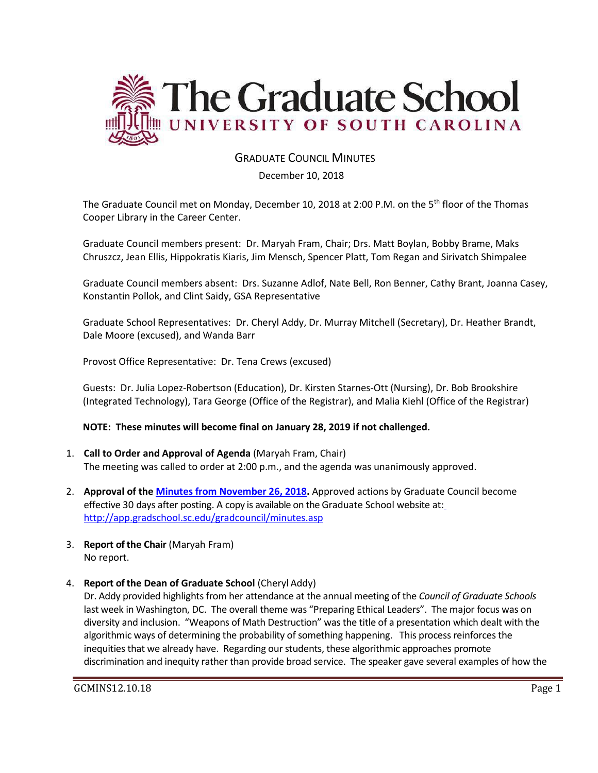

# GRADUATE COUNCIL MINUTES

#### December 10, 2018

The Graduate Council met on Monday, December 10, 2018 at 2:00 P.M. on the 5<sup>th</sup> floor of the Thomas Cooper Library in the Career Center.

Graduate Council members present: Dr. Maryah Fram, Chair; Drs. Matt Boylan, Bobby Brame, Maks Chruszcz, Jean Ellis, Hippokratis Kiaris, Jim Mensch, Spencer Platt, Tom Regan and Sirivatch Shimpalee

Graduate Council members absent: Drs. Suzanne Adlof, Nate Bell, Ron Benner, Cathy Brant, Joanna Casey, Konstantin Pollok, and Clint Saidy, GSA Representative

Graduate School Representatives: Dr. Cheryl Addy, Dr. Murray Mitchell (Secretary), Dr. Heather Brandt, Dale Moore (excused), and Wanda Barr

Provost Office Representative: Dr. Tena Crews (excused)

Guests: Dr. Julia Lopez-Robertson (Education), Dr. Kirsten Starnes-Ott (Nursing), Dr. Bob Brookshire (Integrated Technology), Tara George (Office of the Registrar), and Malia Kiehl (Office of the Registrar)

#### **NOTE: These minutes will become final on January 28, 2019 if not challenged.**

- 1. **Call to Order and Approval of Agenda** (Maryah Fram, Chair) The meeting was called to order at 2:00 p.m., and the agenda was unanimously approved.
- 2. **Approval of the [Minutes from November 26, 2018.](file:///C:/Users/wandab/Local%20Documents/Graduate%20Council/GCMINNOV262018wATTACH.pdf)** Approved actions by Graduate Council become effective 30 days after posting. A copy is available on the Graduate School website at[:](http://app.gradschool.sc.edu/gradcouncil/minutes.asp) <http://app.gradschool.sc.edu/gradcouncil/minutes.asp>
- 3. **Report of the Chair** (Maryah Fram) No report.
- 4. **Report of the Dean of Graduate School** (Cheryl Addy)

Dr. Addy provided highlights from her attendance at the annual meeting of the *Council of Graduate Schools* last week in Washington, DC. The overall theme was "Preparing Ethical Leaders". The major focus was on diversity and inclusion. "Weapons of Math Destruction" was the title of a presentation which dealt with the algorithmic ways of determining the probability of something happening. This process reinforces the inequities that we already have. Regarding our students, these algorithmic approaches promote discrimination and inequity rather than provide broad service. The speaker gave several examples of how the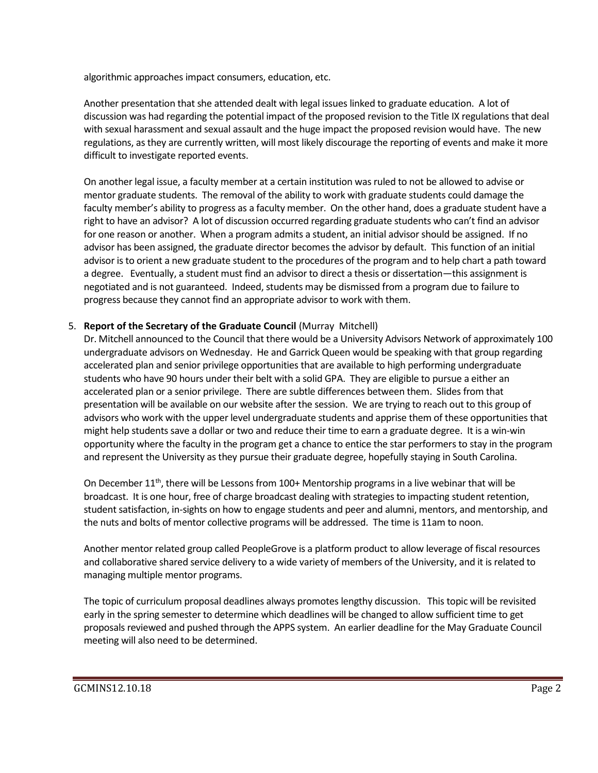algorithmic approaches impact consumers, education, etc.

Another presentation that she attended dealt with legal issues linked to graduate education. A lot of discussion was had regarding the potential impact of the proposed revision to the Title IX regulations that deal with sexual harassment and sexual assault and the huge impact the proposed revision would have. The new regulations, as they are currently written, will most likely discourage the reporting of events and make it more difficult to investigate reported events.

On another legal issue, a faculty member at a certain institution was ruled to not be allowed to advise or mentor graduate students. The removal of the ability to work with graduate students could damage the faculty member's ability to progress as a faculty member. On the other hand, does a graduate student have a right to have an advisor? A lot of discussion occurred regarding graduate students who can't find an advisor for one reason or another. When a program admits a student, an initial advisor should be assigned. If no advisor has been assigned, the graduate director becomes the advisor by default. This function of an initial advisor is to orient a new graduate student to the procedures of the program and to help chart a path toward a degree. Eventually, a student must find an advisor to direct a thesis or dissertation—this assignment is negotiated and is not guaranteed. Indeed, students may be dismissed from a program due to failure to progress because they cannot find an appropriate advisor to work with them.

## 5. **Report of the Secretary of the Graduate Council** (Murray Mitchell)

Dr. Mitchell announced to the Council that there would be a University Advisors Network of approximately 100 undergraduate advisors on Wednesday. He and Garrick Queen would be speaking with that group regarding accelerated plan and senior privilege opportunities that are available to high performing undergraduate students who have 90 hours under their belt with a solid GPA. They are eligible to pursue a either an accelerated plan or a senior privilege. There are subtle differences between them. Slides from that presentation will be available on our website after the session. We are trying to reach out to this group of advisors who work with the upper level undergraduate students and apprise them of these opportunities that might help students save a dollar or two and reduce their time to earn a graduate degree. It is a win-win opportunity where the faculty in the program get a chance to entice the star performers to stay in the program and represent the University as they pursue their graduate degree, hopefully staying in South Carolina.

On December 11<sup>th</sup>, there will be Lessons from 100+ Mentorship programs in a live webinar that will be broadcast. It is one hour, free of charge broadcast dealing with strategies to impacting student retention, student satisfaction, in-sights on how to engage students and peer and alumni, mentors, and mentorship, and the nuts and bolts of mentor collective programs will be addressed. The time is 11am to noon.

Another mentor related group called PeopleGrove is a platform product to allow leverage of fiscal resources and collaborative shared service delivery to a wide variety of members of the University, and it is related to managing multiple mentor programs.

The topic of curriculum proposal deadlines always promotes lengthy discussion. This topic will be revisited early in the spring semester to determine which deadlines will be changed to allow sufficient time to get proposals reviewed and pushed through the APPS system. An earlier deadline for the May Graduate Council meeting will also need to be determined.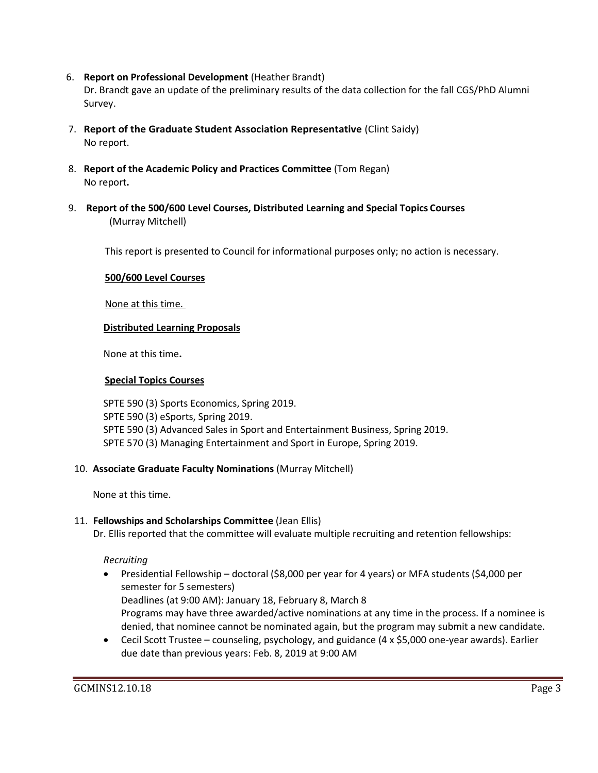6. **Report on Professional Development** (Heather Brandt)

Dr. Brandt gave an update of the preliminary results of the data collection for the fall CGS/PhD Alumni Survey.

- 7. **Report of the Graduate Student Association Representative** (Clint Saidy) No report.
- 8. **Report of the Academic Policy and Practices Committee** (Tom Regan) No report**.**
- 9. **Report of the 500/600 Level Courses, Distributed Learning and Special Topics Courses** (Murray Mitchell)

This report is presented to Council for informational purposes only; no action is necessary.

## **500/600 Level Courses**

None at this time.

## **Distributed Learning Proposals**

None at this time**.**

## **Special Topics Courses**

SPTE 590 (3) Sports Economics, Spring 2019. SPTE 590 (3) eSports, Spring 2019. SPTE 590 (3) Advanced Sales in Sport and Entertainment Business, Spring 2019. SPTE 570 (3) Managing Entertainment and Sport in Europe, Spring 2019.

## 10. **Associate Graduate Faculty Nominations** (Murray Mitchell)

None at this time.

## 11. **Fellowships and Scholarships Committee** (Jean Ellis)

Dr. Ellis reported that the committee will evaluate multiple recruiting and retention fellowships:

*Recruiting*

- Presidential Fellowship doctoral (\$8,000 per year for 4 years) or MFA students (\$4,000 per semester for 5 semesters) Deadlines (at 9:00 AM): January 18, February 8, March 8 Programs may have three awarded/active nominations at any time in the process. If a nominee is denied, that nominee cannot be nominated again, but the program may submit a new candidate.
- Cecil Scott Trustee counseling, psychology, and guidance (4 x \$5,000 one-year awards). Earlier due date than previous years: Feb. 8, 2019 at 9:00 AM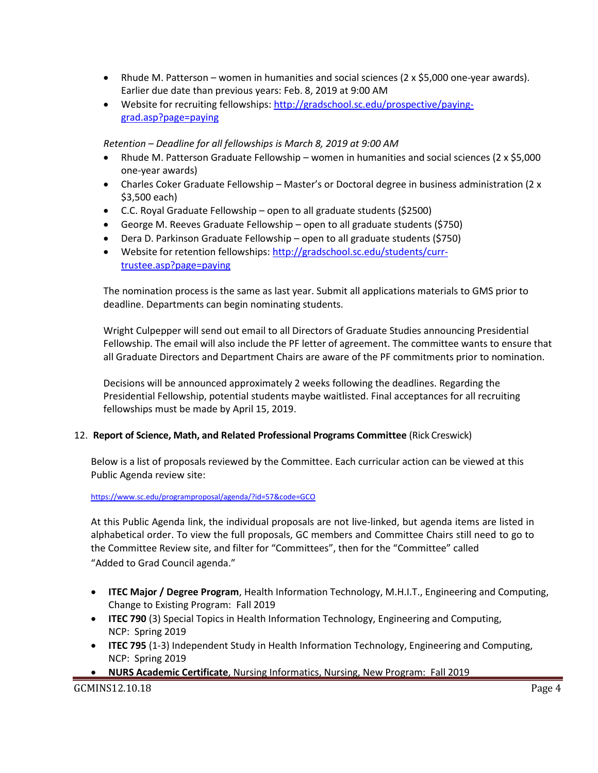- Rhude M. Patterson women in humanities and social sciences (2 x \$5,000 one-year awards). Earlier due date than previous years: Feb. 8, 2019 at 9:00 AM
- Website for recruiting fellowships: [http://gradschool.sc.edu/prospective/paying](http://gradschool.sc.edu/prospective/paying-grad.asp?page=paying)[grad.asp?page=paying](http://gradschool.sc.edu/prospective/paying-grad.asp?page=paying)

*Retention – Deadline for all fellowships is March 8, 2019 at 9:00 AM*

- Rhude M. Patterson Graduate Fellowship women in humanities and social sciences (2 x \$5,000) one-year awards)
- Charles Coker Graduate Fellowship Master's or Doctoral degree in business administration (2 x \$3,500 each)
- C.C. Royal Graduate Fellowship open to all graduate students (\$2500)
- George M. Reeves Graduate Fellowship open to all graduate students (\$750)
- Dera D. Parkinson Graduate Fellowship open to all graduate students (\$750)
- Website for retention fellowships: [http://gradschool.sc.edu/students/curr](http://gradschool.sc.edu/students/curr-trustee.asp?page=paying)[trustee.asp?page=paying](http://gradschool.sc.edu/students/curr-trustee.asp?page=paying)

The nomination process is the same as last year. Submit all applications materials to GMS prior to deadline. Departments can begin nominating students.

Wright Culpepper will send out email to all Directors of Graduate Studies announcing Presidential Fellowship. The email will also include the PF letter of agreement. The committee wants to ensure that all Graduate Directors and Department Chairs are aware of the PF commitments prior to nomination.

Decisions will be announced approximately 2 weeks following the deadlines. Regarding the Presidential Fellowship, potential students maybe waitlisted. Final acceptances for all recruiting fellowships must be made by April 15, 2019.

## 12. **Report of Science, Math, and Related Professional Programs Committee** (Rick Creswick)

Below is a list of proposals reviewed by the Committee. Each curricular action can be viewed at this Public Agenda review site:

#### <https://www.sc.edu/programproposal/agenda/?id=57&code=GCO>

At this Public Agenda link, the individual proposals are not live-linked, but agenda items are listed in alphabetical order. To view the full proposals, GC members and Committee Chairs still need to go to the Committee Review site, and filter for "Committees", then for the "Committee" called "Added to Grad Council agenda."

- **ITEC Major / Degree Program**, Health Information Technology, M.H.I.T., Engineering and Computing, Change to Existing Program: Fall 2019
- **ITEC 790** (3) Special Topics in Health Information Technology, Engineering and Computing, NCP: Spring 2019
- **ITEC 795** (1-3) Independent Study in Health Information Technology, Engineering and Computing, NCP: Spring 2019
- **NURS Academic Certificate**, Nursing Informatics, Nursing, New Program: Fall 2019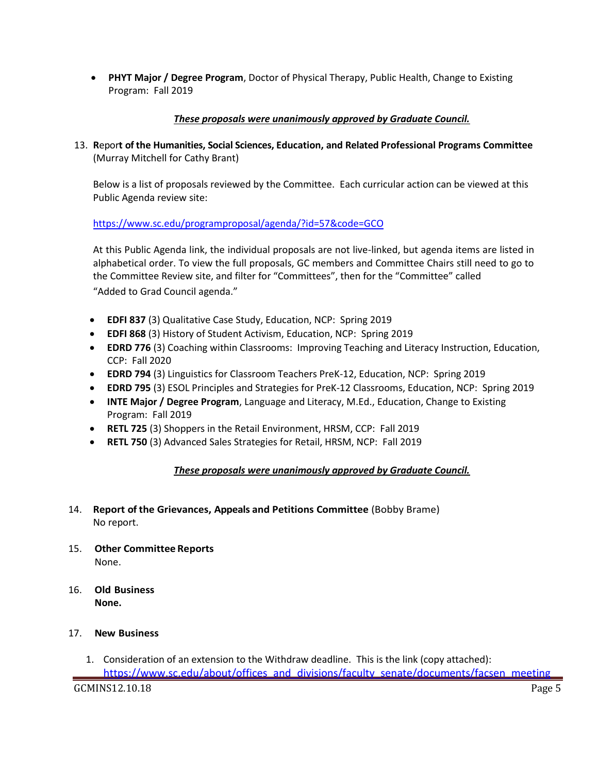• **PHYT Major / Degree Program**, Doctor of Physical Therapy, Public Health, Change to Existing Program: Fall 2019

## *These proposals were unanimously approved by Graduate Council.*

13. **R**epor**t of the Humanities, Social Sciences, Education, and Related Professional Programs Committee**  (Murray Mitchell for Cathy Brant)

Below is a list of proposals reviewed by the Committee. Each curricular action can be viewed at this Public Agenda review site:

<https://www.sc.edu/programproposal/agenda/?id=57&code=GCO>

At this Public Agenda link, the individual proposals are not live-linked, but agenda items are listed in alphabetical order. To view the full proposals, GC members and Committee Chairs still need to go to the Committee Review site, and filter for "Committees", then for the "Committee" called "Added to Grad Council agenda."

- **EDFI 837** (3) Qualitative Case Study, Education, NCP: Spring 2019
- **EDFI 868** (3) History of Student Activism, Education, NCP: Spring 2019
- **EDRD 776** (3) Coaching within Classrooms: Improving Teaching and Literacy Instruction, Education, CCP: Fall 2020
- **EDRD 794** (3) Linguistics for Classroom Teachers PreK-12, Education, NCP: Spring 2019
- **EDRD 795** (3) ESOL Principles and Strategies for PreK-12 Classrooms, Education, NCP: Spring 2019
- **INTE Major / Degree Program**, Language and Literacy, M.Ed., Education, Change to Existing Program: Fall 2019
- **RETL 725** (3) Shoppers in the Retail Environment, HRSM, CCP: Fall 2019
- **RETL 750** (3) Advanced Sales Strategies for Retail, HRSM, NCP: Fall 2019

## *These proposals were unanimously approved by Graduate Council.*

- 14. **Report of the Grievances, Appeals and Petitions Committee** (Bobby Brame) No report.
- 15. **Other Committee Reports** None.
- 16. **Old Business None.**

## 17. **New Business**

1. Consideration of an extension to the Withdraw deadline. This is the link (copy attached):

GCMINS12.10.18 Page 5 [https://www.sc.edu/about/offices\\_and\\_divisions/faculty\\_senate/documents/facsen\\_meeting](https://www.sc.edu/about/offices_and_divisions/faculty_senate/documents/facsen_meetings/2018-06-06_withdrawal_policy.pdf)